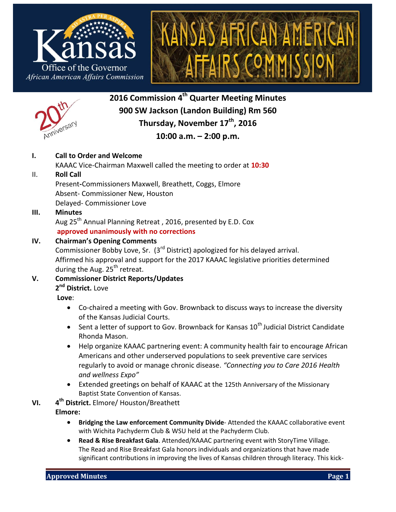





**2016 Commission 4 th Quarter Meeting Minutes 900 SW Jackson (Landon Building) Rm 560 Thursday, November 17th , 2016**

# **10:00 a.m. – 2:00 p.m.**

# **I. Call to Order and Welcome**

KAAAC Vice-Chairman Maxwell called the meeting to order at **10:30**

# II. **Roll Call**

Present**-**Commissioners Maxwell, Breathett, Coggs, Elmore Absent- Commissioner New, Houston Delayed- Commissioner Love

# **III. Minutes**

Aug 25<sup>th</sup> Annual Planning Retreat, 2016, presented by E.D. Cox **approved unanimously with no corrections**

# **IV. Chairman's Opening Comments**

Commissioner Bobby Love, Sr.  $(3<sup>rd</sup>$  District) apologized for his delayed arrival. Affirmed his approval and support for the 2017 KAAAC legislative priorities determined during the Aug.  $25<sup>th</sup>$  retreat.

# **V. Commissioner District Reports/Updates**

# **2 nd District.** Love

**Love**:

- Co-chaired a meeting with Gov. Brownback to discuss ways to increase the diversity of the Kansas Judicial Courts.
- Sent a letter of support to Gov. Brownback for Kansas  $10^{th}$  Judicial District Candidate Rhonda Mason.
- Help organize KAAAC partnering event: A community health fair to encourage African Americans and other underserved populations to seek preventive care services regularly to avoid or manage chronic disease. *"Connecting you to Care 2016 Health and wellness Expo"*
- Extended greetings on behalf of KAAAC at the 125th Anniversary of the Missionary Baptist State Convention of Kansas.
- **VI. 4 th District.** Elmore/ Houston/Breathett
	- **Elmore:** 
		- **Bridging the Law enforcement Community Divide** Attended the KAAAC collaborative event with Wichita Pachyderm Club & WSU held at the Pachyderm Club.
		- **Read & Rise Breakfast Gala**. Attended/KAAAC partnering event with StoryTime Village. The Read and Rise Breakfast Gala honors individuals and organizations that have made significant contributions in improving the lives of Kansas children through literacy. This kick-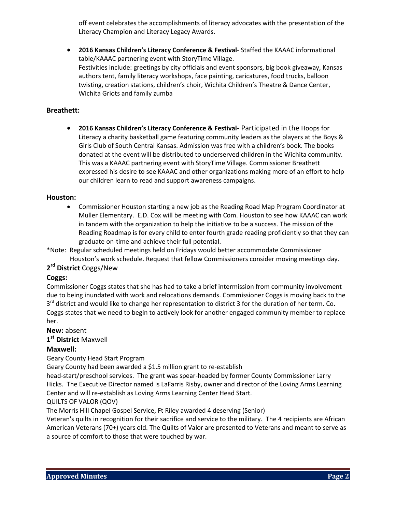off event celebrates the accomplishments of literacy advocates with the presentation of the Literacy Champion and Literacy Legacy Awards.

 **2016 Kansas Children's Literacy Conference & Festival**- Staffed the KAAAC informational table/KAAAC partnering event with StoryTime Village. Festivities include: greetings by city officials and event sponsors, big book giveaway, Kansas authors tent, family literacy workshops, face painting, caricatures, food trucks, balloon twisting, creation stations, children's choir, Wichita Children's Theatre & Dance Center, Wichita Griots and family zumba

# **Breathett:**

 **2016 Kansas Children's Literacy Conference & Festival**- Participated in the Hoops for Literacy a charity basketball game featuring community leaders as the players at the Boys & Girls Club of South Central Kansas. Admission was free with a children's book. The books donated at the event will be distributed to underserved children in the Wichita community. This was a KAAAC partnering event with StoryTime Village. Commissioner Breathett expressed his desire to see KAAAC and other organizations making more of an effort to help our children learn to read and support awareness campaigns.

#### **Houston:**

- Commissioner Houston starting a new job as the Reading Road Map Program Coordinator at Muller Elementary. E.D. Cox will be meeting with Com. Houston to see how KAAAC can work in tandem with the organization to help the initiative to be a success. The mission of the Reading Roadmap is for every child to enter fourth grade reading proficiently so that they can graduate on-time and achieve their full potential.
- \*Note: Regular scheduled meetings held on Fridays would better accommodate Commissioner Houston's work schedule. Request that fellow Commissioners consider moving meetings day.

# **2 rd District** Coggs/New

#### **Coggs:**

Commissioner Coggs states that she has had to take a brief intermission from community involvement due to being inundated with work and relocations demands. Commissioner Coggs is moving back to the 3<sup>rd</sup> district and would like to change her representation to district 3 for the duration of her term. Co. Coggs states that we need to begin to actively look for another engaged community member to replace her.

**New:** absent

**1 st District** Maxwell

# **Maxwell:**

Geary County Head Start Program

Geary County had been awarded a \$1.5 million grant to re-establish

head-start/preschool services. The grant was spear-headed by former County Commissioner Larry Hicks. The Executive Director named is LaFarris Risby, owner and director of the Loving Arms Learning Center and will re-establish as Loving Arms Learning Center Head Start.

#### QUILTS OF VALOR (QOV)

The Morris Hill Chapel Gospel Service, Ft Riley awarded 4 deserving (Senior)

Veteran's quilts in recognition for their sacrifice and service to the military. The 4 recipients are African American Veterans (70+) years old. The Quilts of Valor are presented to Veterans and meant to serve as a source of comfort to those that were touched by war.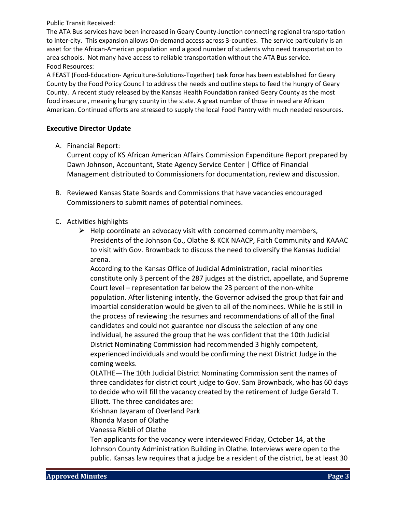Public Transit Received:

The ATA Bus services have been increased in Geary County-Junction connecting regional transportation to inter-city. This expansion allows On-demand access across 3-counties. The service particularly is an asset for the African-American population and a good number of students who need transportation to area schools. Not many have access to reliable transportation without the ATA Bus service. Food Resources:

A FEAST (Food-Education- Agriculture-Solutions-Together) task force has been established for Geary County by the Food Policy Council to address the needs and outline steps to feed the hungry of Geary County. A recent study released by the Kansas Health Foundation ranked Geary County as the most food insecure , meaning hungry county in the state. A great number of those in need are African American. Continued efforts are stressed to supply the local Food Pantry with much needed resources.

### **Executive Director Update**

A. Financial Report:

Current copy of KS African American Affairs Commission Expenditure Report prepared by Dawn Johnson, Accountant, State Agency Service Center | Office of Financial Management distributed to Commissioners for documentation, review and discussion.

- B. Reviewed Kansas State Boards and Commissions that have vacancies encouraged Commissioners to submit names of potential nominees.
- C. Activities highlights
	- $\triangleright$  Help coordinate an advocacy visit with concerned community members, Presidents of the Johnson Co., Olathe & KCK NAACP, Faith Community and KAAAC to visit with Gov. Brownback to discuss the need to diversify the Kansas Judicial arena.

According to the Kansas Office of Judicial Administration, racial minorities constitute only 3 percent of the 287 judges at the district, appellate, and Supreme Court level – representation far below the 23 percent of the non-white population. After listening intently, the Governor advised the group that fair and impartial consideration would be given to all of the nominees. While he is still in the process of reviewing the resumes and recommendations of all of the final candidates and could not guarantee nor discuss the selection of any one individual, he assured the group that he was confident that the 10th Judicial District Nominating Commission had recommended 3 highly competent, experienced individuals and would be confirming the next District Judge in the coming weeks.

OLATHE—The 10th Judicial District Nominating Commission sent the names of three candidates for district court judge to Gov. Sam Brownback, who has 60 days to decide who will fill the vacancy created by the retirement of Judge Gerald T. Elliott. The three candidates are:

Krishnan Jayaram of Overland Park

Rhonda Mason of Olathe

Vanessa Riebli of Olathe

Ten applicants for the vacancy were interviewed Friday, October 14, at the Johnson County Administration Building in Olathe. Interviews were open to the public. Kansas law requires that a judge be a resident of the district, be at least 30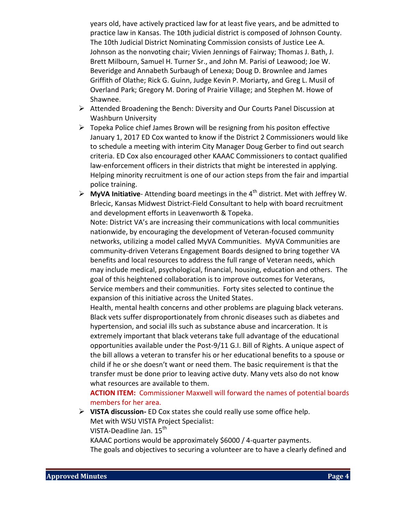years old, have actively practiced law for at least five years, and be admitted to practice law in Kansas. The 10th judicial district is composed of Johnson County. The 10th Judicial District Nominating Commission consists of Justice Lee A. Johnson as the nonvoting chair; Vivien Jennings of Fairway; Thomas J. Bath, J. Brett Milbourn, Samuel H. Turner Sr., and John M. Parisi of Leawood; Joe W. Beveridge and Annabeth Surbaugh of Lenexa; Doug D. Brownlee and James Griffith of Olathe; Rick G. Guinn, Judge Kevin P. Moriarty, and Greg L. Musil of Overland Park; Gregory M. Doring of Prairie Village; and Stephen M. Howe of Shawnee.

- Attended Broadening the Bench: Diversity and Our Courts Panel Discussion at Washburn University
- $\triangleright$  Topeka Police chief James Brown will be resigning from his positon effective January 1, 2017 ED Cox wanted to know if the District 2 Commissioners would like to schedule a meeting with interim City Manager Doug Gerber to find out search criteria. ED Cox also encouraged other KAAAC Commissioners to contact qualified law-enforcement officers in their districts that might be interested in applying. Helping minority recruitment is one of our action steps from the fair and impartial police training.
- **EXECT** MyVA Initiative-Attending board meetings in the 4<sup>th</sup> district. Met with Jeffrey W. Brlecic, Kansas Midwest District-Field Consultant to help with board recruitment and development efforts in Leavenworth & Topeka.

Note: District VA's are increasing their communications with local communities nationwide, by encouraging the development of Veteran-focused community networks, utilizing a model called MyVA Communities. MyVA Communities are community-driven Veterans Engagement Boards designed to bring together VA benefits and local resources to address the full range of Veteran needs, which may include medical, psychological, financial, housing, education and others. The goal of this heightened collaboration is to improve outcomes for Veterans, Service members and their communities. Forty sites selected to continue the expansion of this initiative across the United States.

Health, mental health concerns and other problems are plaguing black veterans. Black vets suffer disproportionately from chronic diseases such as diabetes and hypertension, and social ills such as substance abuse and incarceration. It is extremely important that black veterans take full advantage of the educational opportunities available under the Post-9/11 G.I. Bill of Rights. A unique aspect of the bill allows a veteran to transfer his or her educational benefits to a spouse or child if he or she doesn't want or need them. The basic requirement is that the transfer must be done prior to leaving active duty. Many vets also do not know what resources are available to them.

**ACTION ITEM:** Commissioner Maxwell will forward the names of potential boards members for her area.

 **VISTA discussion-** ED Cox states she could really use some office help. Met with WSU VISTA Project Specialist:

VISTA-Deadline Jan. 15<sup>th</sup>

KAAAC portions would be approximately \$6000 / 4-quarter payments.

The goals and objectives to securing a volunteer are to have a clearly defined and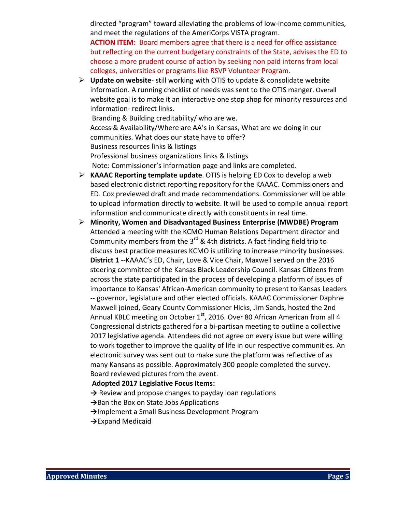directed "program" toward alleviating the problems of low-income communities, and meet the regulations of the AmeriCorps VISTA program.

**ACTION ITEM:** Board members agree that there is a need for office assistance but reflecting on the current budgetary constraints of the State, advises the ED to choose a more prudent course of action by seeking non paid interns from local colleges, universities or programs like RSVP Volunteer Program.

 **Update on website**- still working with OTIS to update & consolidate website information. A running checklist of needs was sent to the OTIS manger. Overall website goal is to make it an interactive one stop shop for minority resources and information- redirect links. Branding & Building creditability/ who are we.

Access & Availability/Where are AA's in Kansas, What are we doing in our communities. What does our state have to offer? Business resources links & listings Professional business organizations links & listings Note: Commissioner's information page and links are completed.

- **KAAAC Reporting template update**. OTIS is helping ED Cox to develop a web based electronic district reporting repository for the KAAAC. Commissioners and ED. Cox previewed draft and made recommendations. Commissioner will be able to upload information directly to website. It will be used to compile annual report information and communicate directly with constituents in real time.
- **Minority, Women and Disadvantaged Business Enterprise (MWDBE) Program** Attended a meeting with the KCMO Human Relations Department director and Community members from the  $3^{rd}$  & 4th districts. A fact finding field trip to discuss best practice measures KCMO is utilizing to increase minority businesses. **District 1** --KAAAC's ED, Chair, Love & Vice Chair, Maxwell served on the 2016 steering committee of the Kansas Black Leadership Council. Kansas Citizens from across the state participated in the process of developing a platform of issues of importance to Kansas' African-American community to present to Kansas Leaders -- governor, legislature and other elected officials. KAAAC Commissioner Daphne Maxwell joined, Geary County Commissioner Hicks, Jim Sands, hosted the 2nd Annual KBLC meeting on October  $1<sup>st</sup>$ , 2016. Over 80 African American from all 4 Congressional districts gathered for a bi-partisan meeting to outline a collective 2017 legislative agenda. Attendees did not agree on every issue but were willing to work together to improve the quality of life in our respective communities. An electronic survey was sent out to make sure the platform was reflective of as many Kansans as possible. Approximately 300 people completed the survey. Board reviewed pictures from the event.

#### **Adopted 2017 Legislative Focus Items:**

- **→** Review and propose changes to payday loan regulations
- **→**Ban the Box on State Jobs Applications
- **→**Implement a Small Business Development Program
- **→**Expand Medicaid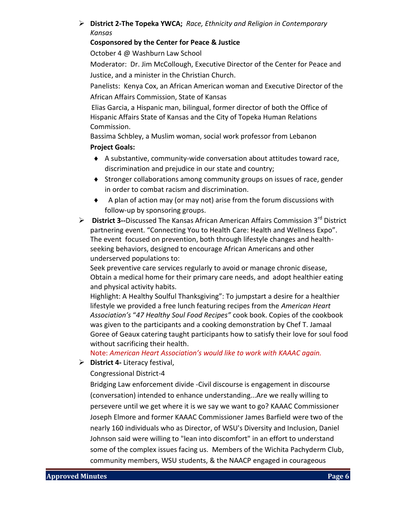# **District 2-The Topeka YWCA;** *Race, Ethnicity and Religion in Contemporary Kansas*

# **Cosponsored by the Center for Peace & Justice**

October 4 @ Washburn Law School

Moderator: Dr. Jim McCollough, Executive Director of the Center for Peace and Justice, and a minister in the Christian Church.

Panelists: Kenya Cox, an African American woman and Executive Director of the African Affairs Commission, State of Kansas

Elias Garcia, a Hispanic man, bilingual, former director of both the Office of Hispanic Affairs State of Kansas and the City of Topeka Human Relations Commission.

Bassima Schbley, a Muslim woman, social work professor from Lebanon

# **Project Goals:**

- A substantive, community-wide conversation about attitudes toward race, discrimination and prejudice in our state and country;
- $\bullet$  Stronger collaborations among community groups on issues of race, gender in order to combat racism and discrimination.
- $\bullet$  A plan of action may (or may not) arise from the forum discussions with follow-up by sponsoring groups.
- **District 3--**Discussed The Kansas African American Affairs Commission 3rd District partnering event. "Connecting You to Health Care: Health and Wellness Expo". The event focused on prevention, both through lifestyle changes and healthseeking behaviors, designed to encourage African Americans and other underserved populations to:

Seek preventive care services regularly to avoid or manage chronic disease, Obtain a medical home for their primary care needs, and adopt healthier eating and physical activity habits.

Highlight: A Healthy Soulful Thanksgiving": To jumpstart a desire for a healthier lifestyle we provided a free lunch featuring recipes from the *American Heart Association's* "*47 Healthy Soul Food Recipes"* cook book. Copies of the cookbook was given to the participants and a cooking demonstration by Chef T. Jamaal Goree of Geaux catering taught participants how to satisfy their love for soul food without sacrificing their health.

Note: *American Heart Association's would like to work with KAAAC again.* 

**District 4-** Literacy festival,

Congressional District-4

Bridging Law enforcement divide -Civil discourse is engagement in discourse (conversation) intended to enhance understanding...Are we really willing to persevere until we get where it is we say we want to go? KAAAC Commissioner Joseph Elmore and former KAAAC Commissioner James Barfield were two of the nearly 160 individuals who as Director, of WSU's Diversity and Inclusion, Daniel Johnson said were willing to "lean into discomfort" in an effort to understand some of the complex issues facing us. Members of the Wichita Pachyderm Club, community members, WSU students, & the NAACP engaged in courageous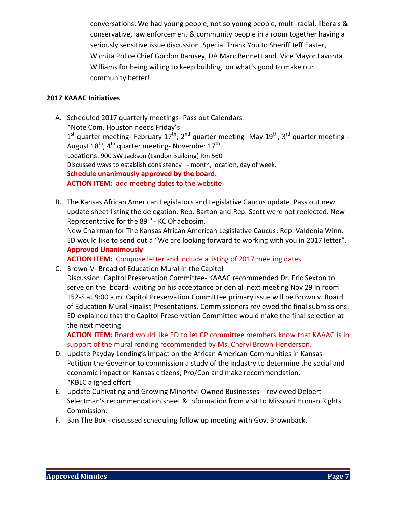conversations. We had young people, not so young people, multi-racial, liberals & conservative, law enforcement & community people in a room together having a seriously sensitive issue discussion. Special Thank You to Sheriff Jeff Easter, Wichita Police Chief Gordon Ramsey, DA Marc Bennett and Vice Mayor Lavonta Williams for being willing to keep building on what's good to make our community better!

# **2017 KAAAC Initiatives**

- A. Scheduled 2017 quarterly meetings- Pass out Calendars. \*Note Com. Houston needs Friday's  $1^{\text{st}}$  quarter meeting- February  $17^{\text{th}}$ ;  $2^{\text{nd}}$  quarter meeting- May  $19^{\text{th}}$ ;  $3^{\text{rd}}$  quarter meeting -August 18<sup>th</sup>; 4<sup>th</sup> quarter meeting- November 17<sup>th</sup>. Locations: 900 SW Jackson (Landon Building) Rm 560 Discussed ways to establish consistency –- month, location, day of week. **Schedule unanimously approved by the board. ACTION ITEM:** add meeting dates to the website
- B. The Kansas African American Legislators and Legislative Caucus update. Pass out new update sheet listing the delegation. Rep. Barton and Rep. Scott were not reelected. New Representative for the  $89<sup>th</sup>$  - KC Ohaebosim.

New Chairman for The Kansas African American Legislative Caucus: Rep. Valdenia Winn. ED would like to send out a "We are looking forward to working with you in 2017 letter". **Approved Unanimously**

**ACTION ITEM:** Compose letter and include a listing of 2017 meeting dates.

C. Brown-V- Broad of Education Mural in the Capitol Discussion: Capitol Preservation Committee- KAAAC recommended Dr. Eric Sexton to

serve on the board- waiting on his acceptance or denial next meeting Nov 29 in room 152-S at 9:00 a.m. Capitol Preservation Committee primary issue will be Brown v. Board of Education Mural Finalist Presentations. Commissioners reviewed the final submissions. ED explained that the Capitol Preservation Committee would make the final selection at the next meeting.

**ACTION ITEM:** Board would like ED to let CP committee members know that KAAAC is in support of the mural rending recommended by Ms. Cheryl Brown Henderson.

- D. Update Payday Lending's impact on the African American Communities in Kansas-Petition the Governor to commission a study of the industry to determine the social and economic impact on Kansas citizens; Pro/Con and make recommendation. \*KBLC aligned effort
- E. Update Cultivating and Growing Minority- Owned Businesses reviewed Delbert Selectman's recommendation sheet & information from visit to Missouri Human Rights Commission.
- F. Ban The Box discussed scheduling follow up meeting with Gov. Brownback.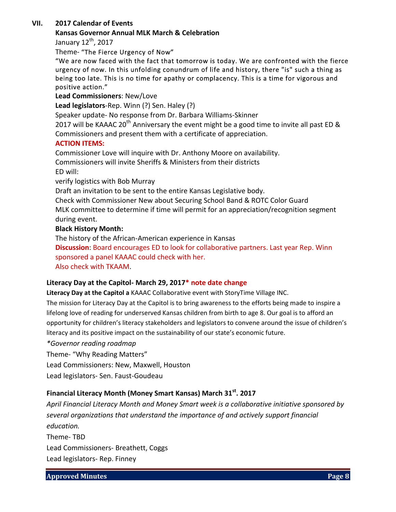# **VII. 2017 Calendar of Events**

# **Kansas Governor Annual MLK March & Celebration**

January 12<sup>th</sup>, 2017

Theme- "The Fierce Urgency of Now"

"We are now faced with the fact that tomorrow is today. We are confronted with the fierce urgency of now. In this unfolding conundrum of life and history, there "is" such a thing as being too late. This is no time for apathy or complacency. This is a time for vigorous and positive action."

**Lead Commissioners**: New/Love

**Lead legislators**-Rep. Winn (?) Sen. Haley (?)

Speaker update- No response from Dr. Barbara Williams-Skinner

2017 will be KAAAC 20<sup>th</sup> Anniversary the event might be a good time to invite all past ED & Commissioners and present them with a certificate of appreciation.

# **ACTION ITEMS:**

Commissioner Love will inquire with Dr. Anthony Moore on availability. Commissioners will invite Sheriffs & Ministers from their districts ED will:

verify logistics with Bob Murray

Draft an invitation to be sent to the entire Kansas Legislative body.

Check with Commissioner New about Securing School Band & ROTC Color Guard MLK committee to determine if time will permit for an appreciation/recognition segment during event.

# **Black History Month:**

The history of the African-American experience in Kansas

**Discussion**: Board encourages ED to look for collaborative partners. Last year Rep. Winn sponsored a panel KAAAC could check with her. Also check with TKAAM.

# **Literacy Day at the Capitol- March 29, 2017\* note date change**

**Literacy Day at the Capitol a** KAAAC Collaborative event with StoryTime Village INC.

The mission for Literacy Day at the Capitol is to bring awareness to the efforts being made to inspire a lifelong love of reading for underserved Kansas children from birth to age 8. Our goal is to afford an opportunity for children's literacy stakeholders and legislators to convene around the issue of children's literacy and its positive impact on the sustainability of our state's economic future.

*\*Governor reading roadmap*

Theme- "Why Reading Matters"

Lead Commissioners: New, Maxwell, Houston

Lead legislators- Sen. Faust-Goudeau

# **Financial Literacy Month (Money Smart Kansas) March 31st. 2017**

*April Financial Literacy Month and Money Smart week is a collaborative initiative sponsored by several organizations that understand the importance of and actively support financial education.*  Theme- TBD Lead Commissioners- Breathett, Coggs Lead legislators- Rep. Finney